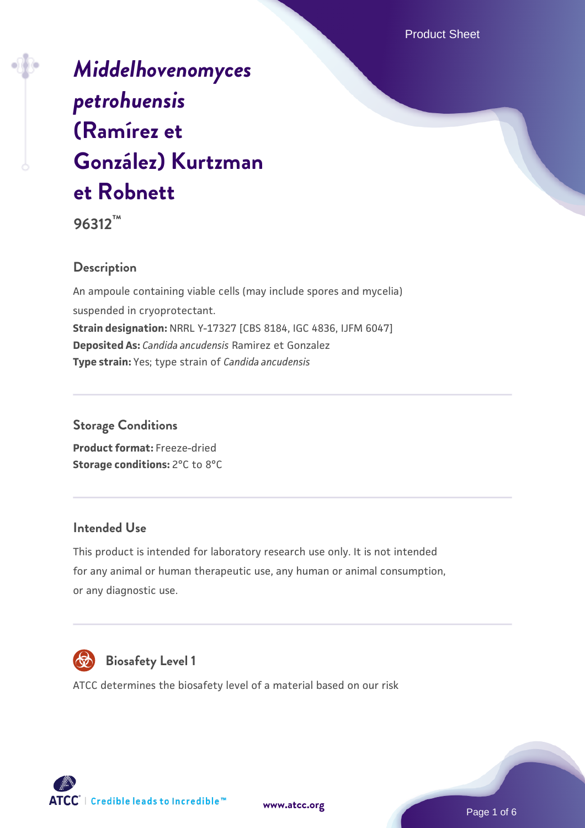Product Sheet

# *[Middelhovenomyces](https://www.atcc.org/products/96312) [petrohuensis](https://www.atcc.org/products/96312)* **[\(Ramírez et](https://www.atcc.org/products/96312) [González\) Kurtzman](https://www.atcc.org/products/96312) [et Robnett](https://www.atcc.org/products/96312)**

**96312™**

#### **Description**

An ampoule containing viable cells (may include spores and mycelia) suspended in cryoprotectant. **Strain designation:** NRRL Y-17327 [CBS 8184, IGC 4836, IJFM 6047] **Deposited As:** *Candida ancudensis* Ramirez et Gonzalez **Type strain:** Yes; type strain of *Candida ancudensis*

#### **Storage Conditions**

**Product format:** Freeze-dried **Storage conditions: 2°C to 8°C** 

#### **Intended Use**

This product is intended for laboratory research use only. It is not intended for any animal or human therapeutic use, any human or animal consumption, or any diagnostic use.



## **Biosafety Level 1**

ATCC determines the biosafety level of a material based on our risk



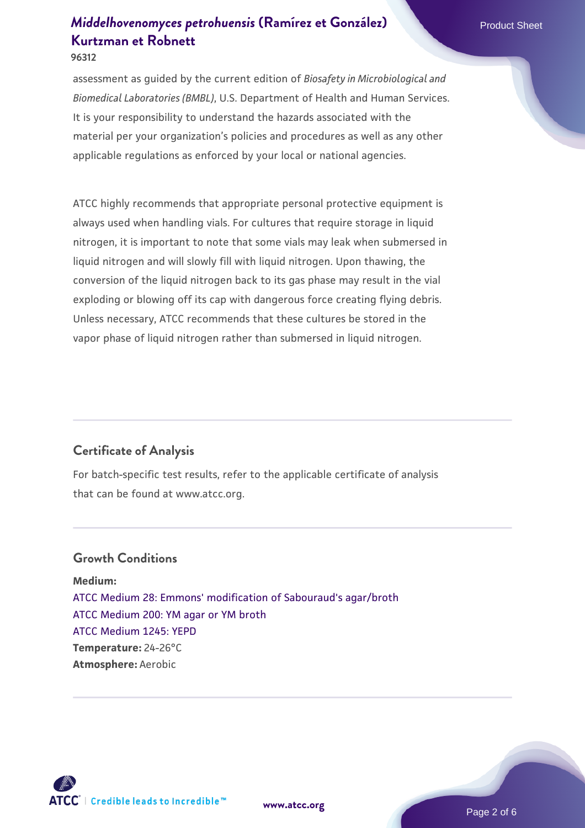assessment as guided by the current edition of *Biosafety in Microbiological and Biomedical Laboratories (BMBL)*, U.S. Department of Health and Human Services. It is your responsibility to understand the hazards associated with the material per your organization's policies and procedures as well as any other applicable regulations as enforced by your local or national agencies.

ATCC highly recommends that appropriate personal protective equipment is always used when handling vials. For cultures that require storage in liquid nitrogen, it is important to note that some vials may leak when submersed in liquid nitrogen and will slowly fill with liquid nitrogen. Upon thawing, the conversion of the liquid nitrogen back to its gas phase may result in the vial exploding or blowing off its cap with dangerous force creating flying debris. Unless necessary, ATCC recommends that these cultures be stored in the vapor phase of liquid nitrogen rather than submersed in liquid nitrogen.

### **Certificate of Analysis**

For batch-specific test results, refer to the applicable certificate of analysis that can be found at www.atcc.org.

#### **Growth Conditions**

**Medium:**  [ATCC Medium 28: Emmons' modification of Sabouraud's agar/broth](https://www.atcc.org/-/media/product-assets/documents/microbial-media-formulations/2/8/atcc-medium-28.pdf?rev=0da0c58cc2a343eeae735016b70809bb) [ATCC Medium 200: YM agar or YM broth](https://www.atcc.org/-/media/product-assets/documents/microbial-media-formulations/2/0/0/atcc-medium-200.pdf?rev=ac40fd74dc13433a809367b0b9da30fc) [ATCC Medium 1245: YEPD](https://www.atcc.org/-/media/product-assets/documents/microbial-media-formulations/1/2/4/5/atcc-medium-1245.pdf?rev=705ca55d1b6f490a808a965d5c072196) **Temperature:** 24-26°C **Atmosphere:** Aerobic

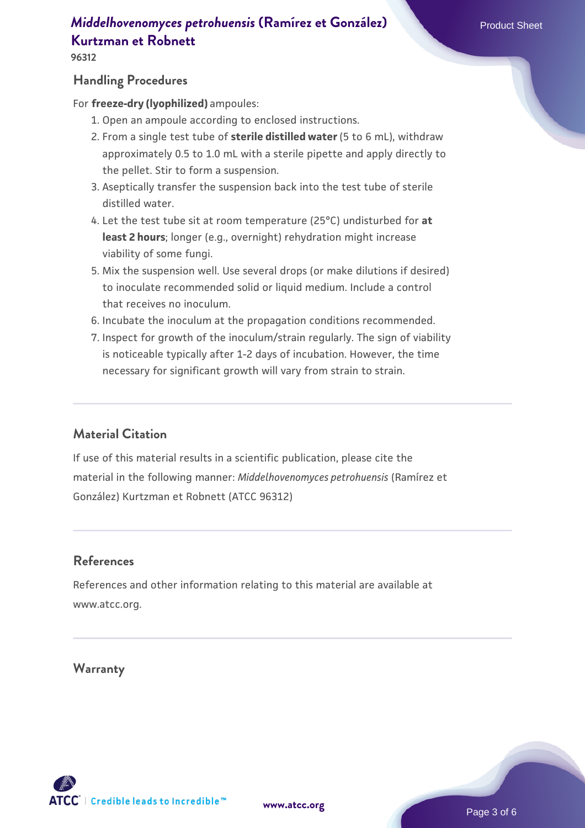## *[Middelhovenomyces petrohuensis](https://www.atcc.org/products/96312)* [\(Ramírez et González\)](https://www.atcc.org/products/96312) Product Sheet **[Kurtzman et Robnett](https://www.atcc.org/products/96312)**

#### **Handling Procedures**

For **freeze-dry (lyophilized)** ampoules:

- 1. Open an ampoule according to enclosed instructions.
- 2. From a single test tube of **sterile distilled water** (5 to 6 mL), withdraw approximately 0.5 to 1.0 mL with a sterile pipette and apply directly to the pellet. Stir to form a suspension.
- 3. Aseptically transfer the suspension back into the test tube of sterile distilled water.
- Let the test tube sit at room temperature (25°C) undisturbed for **at** 4. **least 2 hours**; longer (e.g., overnight) rehydration might increase viability of some fungi.
- Mix the suspension well. Use several drops (or make dilutions if desired) 5. to inoculate recommended solid or liquid medium. Include a control that receives no inoculum.
- 6. Incubate the inoculum at the propagation conditions recommended.
- 7. Inspect for growth of the inoculum/strain regularly. The sign of viability is noticeable typically after 1-2 days of incubation. However, the time necessary for significant growth will vary from strain to strain.

#### **Material Citation**

If use of this material results in a scientific publication, please cite the material in the following manner: *Middelhovenomyces petrohuensis* (Ramírez et González) Kurtzman et Robnett (ATCC 96312)

#### **References**

References and other information relating to this material are available at www.atcc.org.

#### **Warranty**

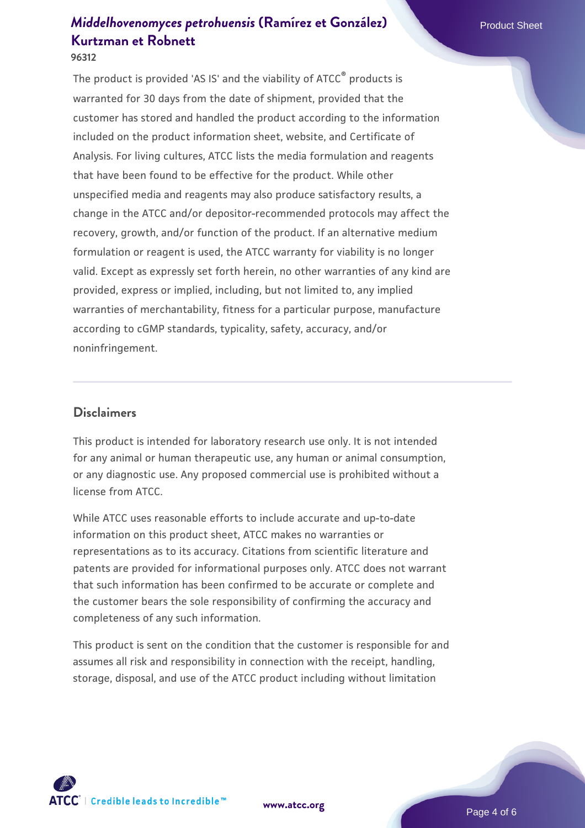# *[Middelhovenomyces petrohuensis](https://www.atcc.org/products/96312)* [\(Ramírez et González\)](https://www.atcc.org/products/96312) Product Sheet **[Kurtzman et Robnett](https://www.atcc.org/products/96312)**

**96312**

The product is provided 'AS IS' and the viability of ATCC® products is warranted for 30 days from the date of shipment, provided that the customer has stored and handled the product according to the information included on the product information sheet, website, and Certificate of Analysis. For living cultures, ATCC lists the media formulation and reagents that have been found to be effective for the product. While other unspecified media and reagents may also produce satisfactory results, a change in the ATCC and/or depositor-recommended protocols may affect the recovery, growth, and/or function of the product. If an alternative medium formulation or reagent is used, the ATCC warranty for viability is no longer valid. Except as expressly set forth herein, no other warranties of any kind are provided, express or implied, including, but not limited to, any implied warranties of merchantability, fitness for a particular purpose, manufacture according to cGMP standards, typicality, safety, accuracy, and/or noninfringement.

#### **Disclaimers**

This product is intended for laboratory research use only. It is not intended for any animal or human therapeutic use, any human or animal consumption, or any diagnostic use. Any proposed commercial use is prohibited without a license from ATCC.

While ATCC uses reasonable efforts to include accurate and up-to-date information on this product sheet, ATCC makes no warranties or representations as to its accuracy. Citations from scientific literature and patents are provided for informational purposes only. ATCC does not warrant that such information has been confirmed to be accurate or complete and the customer bears the sole responsibility of confirming the accuracy and completeness of any such information.

This product is sent on the condition that the customer is responsible for and assumes all risk and responsibility in connection with the receipt, handling, storage, disposal, and use of the ATCC product including without limitation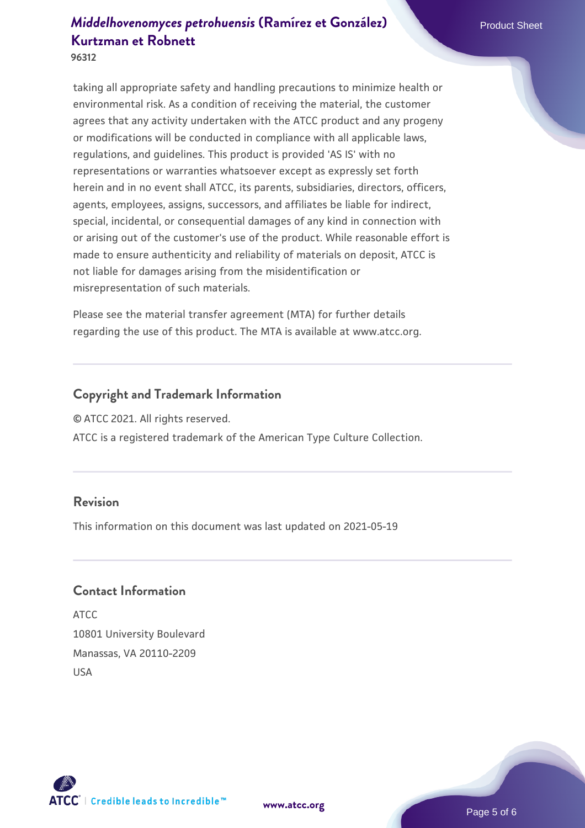## *[Middelhovenomyces petrohuensis](https://www.atcc.org/products/96312)* [\(Ramírez et González\)](https://www.atcc.org/products/96312) Product Sheet **[Kurtzman et Robnett](https://www.atcc.org/products/96312)**

**96312**

taking all appropriate safety and handling precautions to minimize health or environmental risk. As a condition of receiving the material, the customer agrees that any activity undertaken with the ATCC product and any progeny or modifications will be conducted in compliance with all applicable laws, regulations, and guidelines. This product is provided 'AS IS' with no representations or warranties whatsoever except as expressly set forth herein and in no event shall ATCC, its parents, subsidiaries, directors, officers, agents, employees, assigns, successors, and affiliates be liable for indirect, special, incidental, or consequential damages of any kind in connection with or arising out of the customer's use of the product. While reasonable effort is made to ensure authenticity and reliability of materials on deposit, ATCC is not liable for damages arising from the misidentification or misrepresentation of such materials.

Please see the material transfer agreement (MTA) for further details regarding the use of this product. The MTA is available at www.atcc.org.

#### **Copyright and Trademark Information**

© ATCC 2021. All rights reserved.

ATCC is a registered trademark of the American Type Culture Collection.

#### **Revision**

This information on this document was last updated on 2021-05-19

#### **Contact Information**

ATCC 10801 University Boulevard Manassas, VA 20110-2209 USA